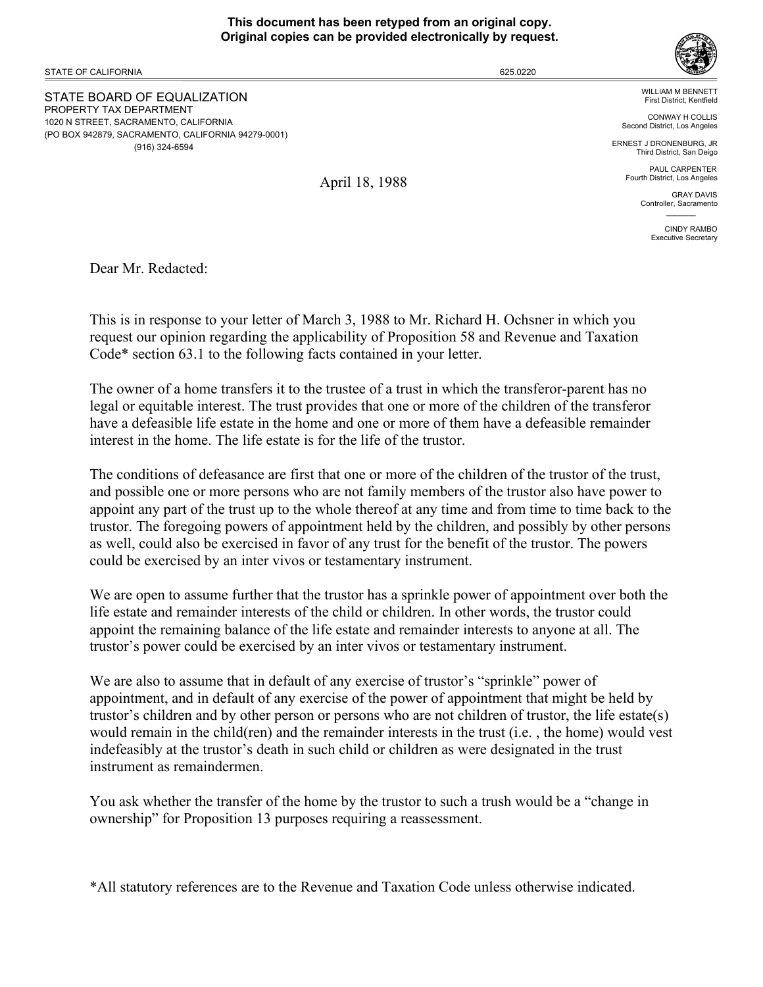## **This document has been retyped from an original copy. Original copies can be provided electronically by request.**

STATE OF CALIFORNIA

STATE BOARD OF EQUALIZATION PROPERTY TAX DEPARTMENT 1020 N STREET, SACRAMENTO, CALIFORNIA (PO BOX 942879, SACRAMENTO, CALIFORNIA 94279-0001) (916) 324-6594

WILLIAM M BENNETT First District, Kentfield

CONWAY H COLLIS Second District, Los Angeles

ERNEST J DRONENBURG, JR Third District, San Deigo

> PAUL CARPENTER Fourth District, Los Angeles

> > GRAY DAVIS Controller, Sacramento  $\mathcal{L}=\mathcal{L}$

> > > CINDY RAMBO Executive Secretary

Dear Mr. Redacted:

This is in response to your letter of March 3, 1988 to Mr. Richard H. Ochsner in which you request our opinion regarding the applicability of Proposition 58 and Revenue and Taxation Code\* section 63.1 to the following facts contained in your letter.

April 18, 1988

The owner of a home transfers it to the trustee of a trust in which the transferor-parent has no legal or equitable interest. The trust provides that one or more of the children of the transferor have a defeasible life estate in the home and one or more of them have a defeasible remainder interest in the home. The life estate is for the life of the trustor.

The conditions of defeasance are first that one or more of the children of the trustor of the trust, and possible one or more persons who are not family members of the trustor also have power to appoint any part of the trust up to the whole thereof at any time and from time to time back to the trustor. The foregoing powers of appointment held by the children, and possibly by other persons as well, could also be exercised in favor of any trust for the benefit of the trustor. The powers could be exercised by an inter vivos or testamentary instrument.

We are open to assume further that the trustor has a sprinkle power of appointment over both the life estate and remainder interests of the child or children. In other words, the trustor could appoint the remaining balance of the life estate and remainder interests to anyone at all. The trustor's power could be exercised by an inter vivos or testamentary instrument.

We are also to assume that in default of any exercise of trustor's "sprinkle" power of appointment, and in default of any exercise of the power of appointment that might be held by trustor's children and by other person or persons who are not children of trustor, the life estate(s) would remain in the child(ren) and the remainder interests in the trust (i.e. , the home) would vest indefeasibly at the trustor's death in such child or children as were designated in the trust instrument as remaindermen.

You ask whether the transfer of the home by the trustor to such a trush would be a "change in ownership" for Proposition 13 purposes requiring a reassessment.

\*All statutory references are to the Revenue and Taxation Code unless otherwise indicated.



625.0220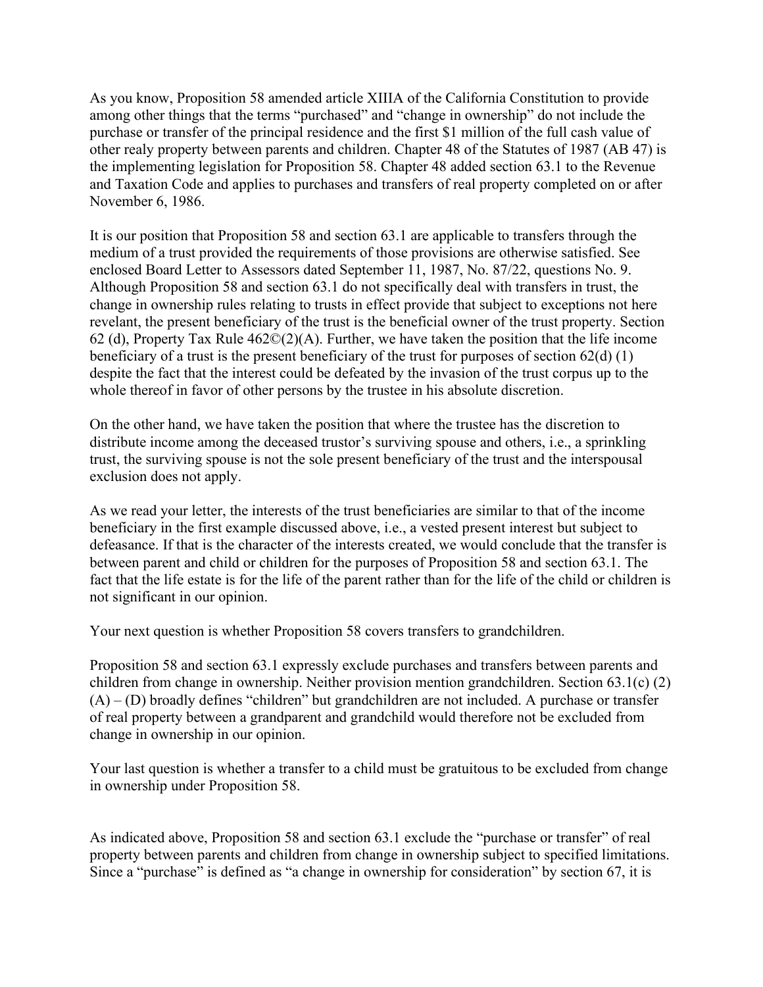As you know, Proposition 58 amended article XIIIA of the California Constitution to provide among other things that the terms "purchased" and "change in ownership" do not include the purchase or transfer of the principal residence and the first \$1 million of the full cash value of other realy property between parents and children. Chapter 48 of the Statutes of 1987 (AB 47) is the implementing legislation for Proposition 58. Chapter 48 added section 63.1 to the Revenue and Taxation Code and applies to purchases and transfers of real property completed on or after November 6, 1986.

It is our position that Proposition 58 and section 63.1 are applicable to transfers through the medium of a trust provided the requirements of those provisions are otherwise satisfied. See enclosed Board Letter to Assessors dated September 11, 1987, No. 87/22, questions No. 9. Although Proposition 58 and section 63.1 do not specifically deal with transfers in trust, the change in ownership rules relating to trusts in effect provide that subject to exceptions not here revelant, the present beneficiary of the trust is the beneficial owner of the trust property. Section 62 (d), Property Tax Rule  $462\mathbb{O}(2)$ (A). Further, we have taken the position that the life income beneficiary of a trust is the present beneficiary of the trust for purposes of section 62(d) (1) despite the fact that the interest could be defeated by the invasion of the trust corpus up to the whole thereof in favor of other persons by the trustee in his absolute discretion.

On the other hand, we have taken the position that where the trustee has the discretion to distribute income among the deceased trustor's surviving spouse and others, i.e., a sprinkling trust, the surviving spouse is not the sole present beneficiary of the trust and the interspousal exclusion does not apply.

As we read your letter, the interests of the trust beneficiaries are similar to that of the income beneficiary in the first example discussed above, i.e., a vested present interest but subject to defeasance. If that is the character of the interests created, we would conclude that the transfer is between parent and child or children for the purposes of Proposition 58 and section 63.1. The fact that the life estate is for the life of the parent rather than for the life of the child or children is not significant in our opinion.

Your next question is whether Proposition 58 covers transfers to grandchildren.

Proposition 58 and section 63.1 expressly exclude purchases and transfers between parents and children from change in ownership. Neither provision mention grandchildren. Section 63.1(c) (2)  $(A) - (D)$  broadly defines "children" but grandchildren are not included. A purchase or transfer of real property between a grandparent and grandchild would therefore not be excluded from change in ownership in our opinion.

Your last question is whether a transfer to a child must be gratuitous to be excluded from change in ownership under Proposition 58.

As indicated above, Proposition 58 and section 63.1 exclude the "purchase or transfer" of real property between parents and children from change in ownership subject to specified limitations. Since a "purchase" is defined as "a change in ownership for consideration" by section 67, it is